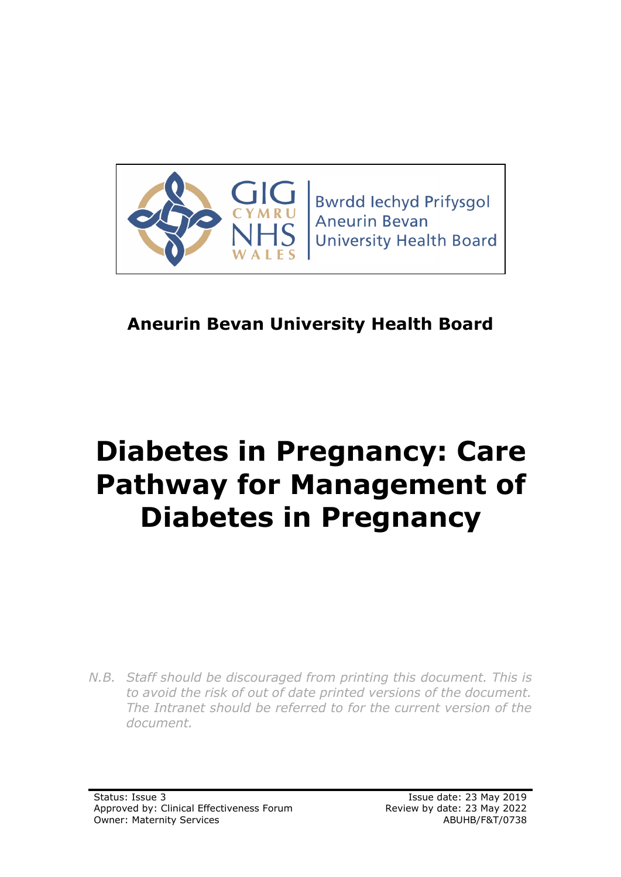

**Bwrdd lechyd Prifysgol Aneurin Bevan University Health Board** 

# **Aneurin Bevan University Health Board**

# **Diabetes in Pregnancy: Care Pathway for Management of Diabetes in Pregnancy**

*N.B. Staff should be discouraged from printing this document. This is to avoid the risk of out of date printed versions of the document. The Intranet should be referred to for the current version of the document.*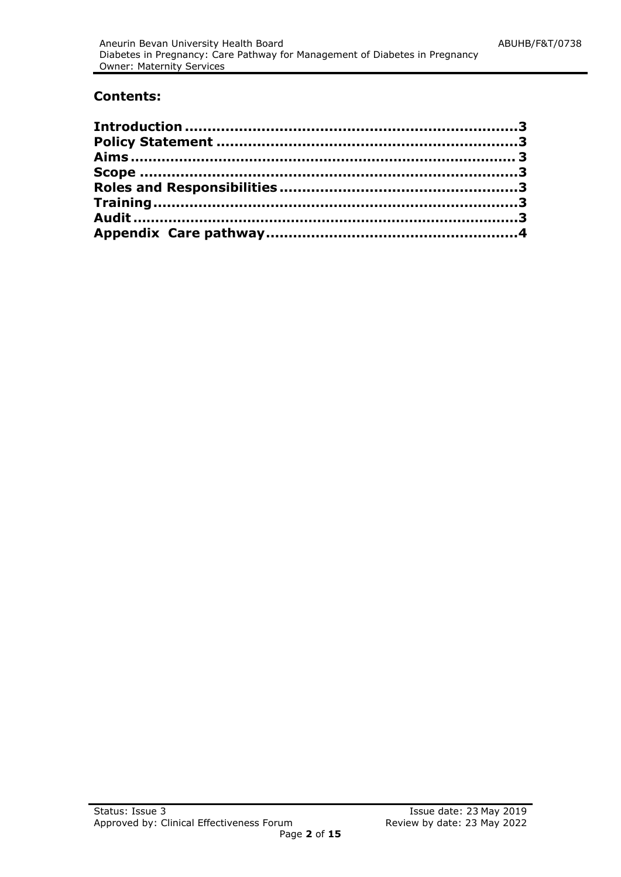#### **Contents:**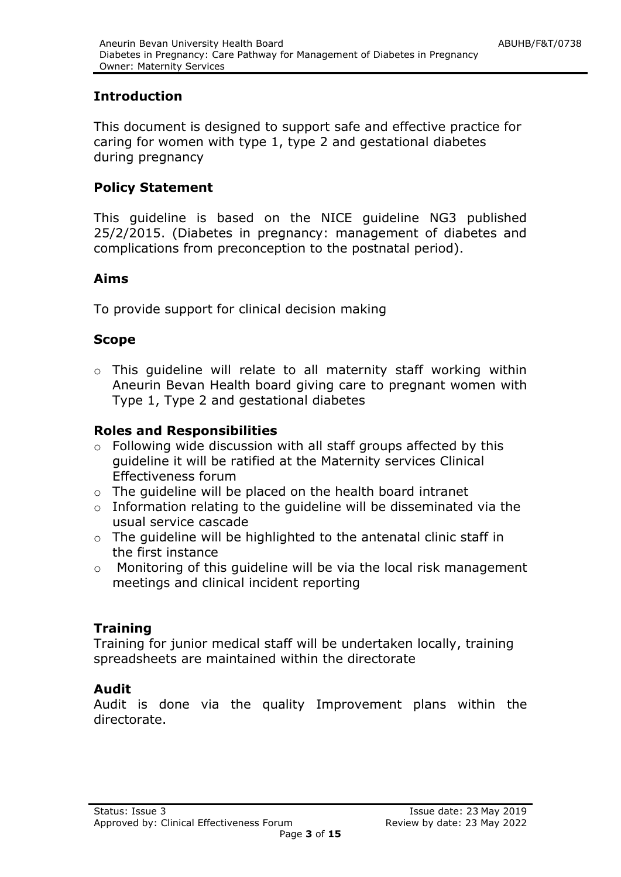# <span id="page-2-0"></span>**Introduction**

This document is designed to support safe and effective practice for caring for women with type 1, type 2 and gestational diabetes during pregnancy

# <span id="page-2-1"></span>**Policy Statement**

This guideline is based on the NICE guideline NG3 published 25/2/2015. (Diabetes in pregnancy: management of diabetes and complications from preconception to the postnatal period).

# <span id="page-2-2"></span>**Aims**

To provide support for clinical decision making

# <span id="page-2-3"></span>**Scope**

o This guideline will relate to all maternity staff working within Aneurin Bevan Health board giving care to pregnant women with Type 1, Type 2 and gestational diabetes

# <span id="page-2-4"></span>**Roles and Responsibilities**

- o Following wide discussion with all staff groups affected by this guideline it will be ratified at the Maternity services Clinical Effectiveness forum
- o The guideline will be placed on the health board intranet
- o Information relating to the guideline will be disseminated via the usual service cascade
- o The guideline will be highlighted to the antenatal clinic staff in the first instance
- o Monitoring of this guideline will be via the local risk management meetings and clinical incident reporting

# <span id="page-2-5"></span>**Training**

Training for junior medical staff will be undertaken locally, training spreadsheets are maintained within the directorate

# <span id="page-2-6"></span>**Audit**

Audit is done via the quality Improvement plans within the directorate.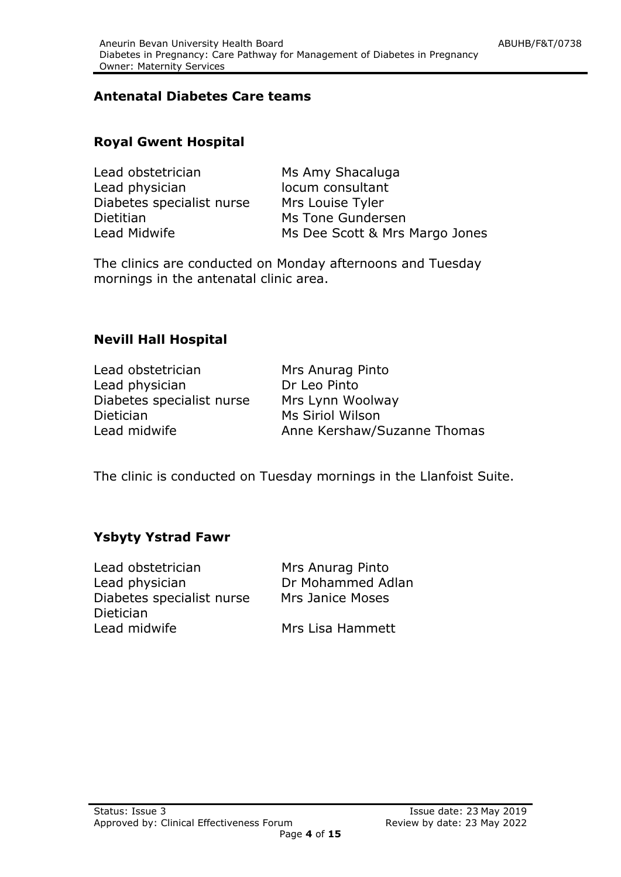# **Antenatal Diabetes Care teams**

#### **Royal Gwent Hospital**

| Lead obstetrician         | Ms Amy Shacaluga               |
|---------------------------|--------------------------------|
| Lead physician            | locum consultant               |
| Diabetes specialist nurse | Mrs Louise Tyler               |
| Dietitian                 | Ms Tone Gundersen              |
| Lead Midwife              | Ms Dee Scott & Mrs Margo Jones |

The clinics are conducted on Monday afternoons and Tuesday mornings in the antenatal clinic area.

# **Nevill Hall Hospital**

| Lead obstetrician         |  |
|---------------------------|--|
| Lead physician            |  |
| Diabetes specialist nurse |  |
| Dietician                 |  |
| Lead midwife              |  |

Mrs Anurag Pinto Dr Leo Pinto Mrs Lynn Woolway Ms Siriol Wilson Anne Kershaw/Suzanne Thomas

The clinic is conducted on Tuesday mornings in the Llanfoist Suite.

# **Ysbyty Ystrad Fawr**

Lead obstetrician Mrs Anurag Pinto Lead physician **Dr Mohammed Adlan** Diabetes specialist nurse Mrs Janice Moses Dietician Lead midwife Mrs Lisa Hammett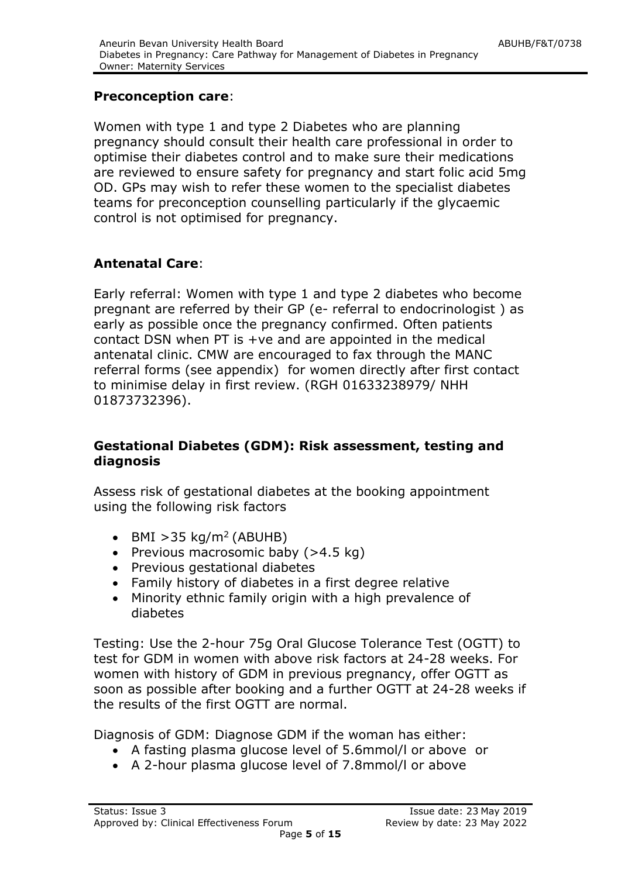# **Preconception care**:

Women with type 1 and type 2 Diabetes who are planning pregnancy should consult their health care professional in order to optimise their diabetes control and to make sure their medications are reviewed to ensure safety for pregnancy and start folic acid 5mg OD. GPs may wish to refer these women to the specialist diabetes teams for preconception counselling particularly if the glycaemic control is not optimised for pregnancy.

# **Antenatal Care**:

Early referral: Women with type 1 and type 2 diabetes who become pregnant are referred by their GP (e- referral to endocrinologist ) as early as possible once the pregnancy confirmed. Often patients contact DSN when PT is +ve and are appointed in the medical antenatal clinic. CMW are encouraged to fax through the MANC referral forms (see appendix) for women directly after first contact to minimise delay in first review. (RGH 01633238979/ NHH 01873732396).

# **Gestational Diabetes (GDM): Risk assessment, testing and diagnosis**

Assess risk of gestational diabetes at the booking appointment using the following risk factors

- $-BMI > 35$  kg/m<sup>2</sup> (ABUHB)
- Previous macrosomic baby  $(>4.5 \text{ kg})$
- Previous gestational diabetes
- Family history of diabetes in a first degree relative
- Minority ethnic family origin with a high prevalence of diabetes

Testing: Use the 2-hour 75g Oral Glucose Tolerance Test (OGTT) to test for GDM in women with above risk factors at 24-28 weeks. For women with history of GDM in previous pregnancy, offer OGTT as soon as possible after booking and a further OGTT at 24-28 weeks if the results of the first OGTT are normal.

Diagnosis of GDM: Diagnose GDM if the woman has either:

- A fasting plasma glucose level of 5.6mmol/l or above or
- A 2-hour plasma glucose level of 7.8mmol/l or above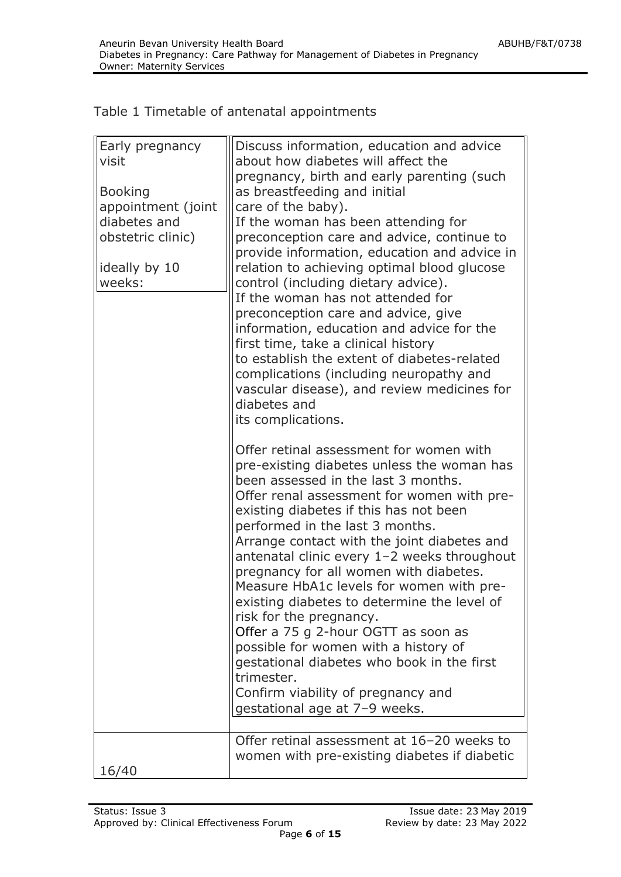| Early pregnancy<br>visit | Discuss information, education and advice<br>about how diabetes will affect the<br>pregnancy, birth and early parenting (such                                                                                                                                                                                                                                                                                                                                                                                     |
|--------------------------|-------------------------------------------------------------------------------------------------------------------------------------------------------------------------------------------------------------------------------------------------------------------------------------------------------------------------------------------------------------------------------------------------------------------------------------------------------------------------------------------------------------------|
| <b>Booking</b>           | as breastfeeding and initial                                                                                                                                                                                                                                                                                                                                                                                                                                                                                      |
| appointment (joint       | care of the baby).                                                                                                                                                                                                                                                                                                                                                                                                                                                                                                |
| diabetes and             | If the woman has been attending for                                                                                                                                                                                                                                                                                                                                                                                                                                                                               |
| obstetric clinic)        | preconception care and advice, continue to                                                                                                                                                                                                                                                                                                                                                                                                                                                                        |
|                          | provide information, education and advice in                                                                                                                                                                                                                                                                                                                                                                                                                                                                      |
| ideally by 10            | relation to achieving optimal blood glucose                                                                                                                                                                                                                                                                                                                                                                                                                                                                       |
| weeks:                   | control (including dietary advice).                                                                                                                                                                                                                                                                                                                                                                                                                                                                               |
|                          | If the woman has not attended for                                                                                                                                                                                                                                                                                                                                                                                                                                                                                 |
|                          | preconception care and advice, give                                                                                                                                                                                                                                                                                                                                                                                                                                                                               |
|                          | information, education and advice for the                                                                                                                                                                                                                                                                                                                                                                                                                                                                         |
|                          | first time, take a clinical history                                                                                                                                                                                                                                                                                                                                                                                                                                                                               |
|                          | to establish the extent of diabetes-related                                                                                                                                                                                                                                                                                                                                                                                                                                                                       |
|                          | complications (including neuropathy and                                                                                                                                                                                                                                                                                                                                                                                                                                                                           |
|                          | vascular disease), and review medicines for                                                                                                                                                                                                                                                                                                                                                                                                                                                                       |
|                          | diabetes and                                                                                                                                                                                                                                                                                                                                                                                                                                                                                                      |
|                          | its complications.                                                                                                                                                                                                                                                                                                                                                                                                                                                                                                |
|                          | Offer retinal assessment for women with                                                                                                                                                                                                                                                                                                                                                                                                                                                                           |
|                          | pre-existing diabetes unless the woman has<br>been assessed in the last 3 months.<br>Offer renal assessment for women with pre-<br>existing diabetes if this has not been<br>performed in the last 3 months.<br>Arrange contact with the joint diabetes and<br>antenatal clinic every 1-2 weeks throughout<br>pregnancy for all women with diabetes.<br>Measure HbA1c levels for women with pre-<br>existing diabetes to determine the level of<br>risk for the pregnancy.<br>Offer a 75 g 2-hour OGTT as soon as |
|                          | possible for women with a history of                                                                                                                                                                                                                                                                                                                                                                                                                                                                              |
|                          | gestational diabetes who book in the first                                                                                                                                                                                                                                                                                                                                                                                                                                                                        |
|                          | trimester.                                                                                                                                                                                                                                                                                                                                                                                                                                                                                                        |
|                          | Confirm viability of pregnancy and                                                                                                                                                                                                                                                                                                                                                                                                                                                                                |
|                          | gestational age at 7-9 weeks.                                                                                                                                                                                                                                                                                                                                                                                                                                                                                     |
|                          |                                                                                                                                                                                                                                                                                                                                                                                                                                                                                                                   |
|                          | Offer retinal assessment at 16-20 weeks to                                                                                                                                                                                                                                                                                                                                                                                                                                                                        |
|                          | women with pre-existing diabetes if diabetic                                                                                                                                                                                                                                                                                                                                                                                                                                                                      |
| 16/40                    |                                                                                                                                                                                                                                                                                                                                                                                                                                                                                                                   |

# Table 1 Timetable of antenatal appointments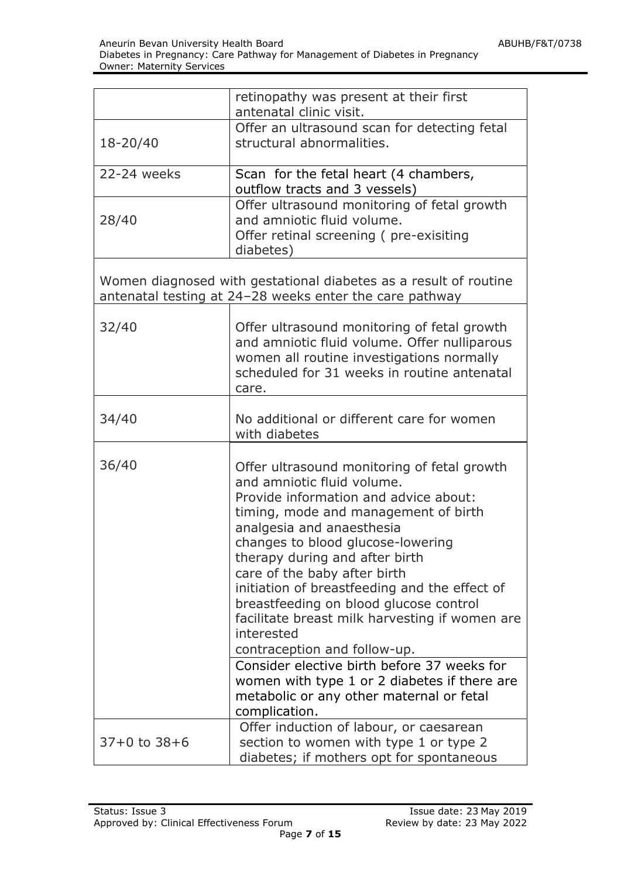|                  | retinopathy was present at their first<br>antenatal clinic visit.                                                                                                                                                                                                                                                                                                                                                                                                                                                                                                                                                                                     |  |  |  |  |  |  |
|------------------|-------------------------------------------------------------------------------------------------------------------------------------------------------------------------------------------------------------------------------------------------------------------------------------------------------------------------------------------------------------------------------------------------------------------------------------------------------------------------------------------------------------------------------------------------------------------------------------------------------------------------------------------------------|--|--|--|--|--|--|
| 18-20/40         | Offer an ultrasound scan for detecting fetal<br>structural abnormalities.                                                                                                                                                                                                                                                                                                                                                                                                                                                                                                                                                                             |  |  |  |  |  |  |
| 22-24 weeks      | Scan for the fetal heart (4 chambers,<br>outflow tracts and 3 vessels)                                                                                                                                                                                                                                                                                                                                                                                                                                                                                                                                                                                |  |  |  |  |  |  |
| 28/40            | Offer ultrasound monitoring of fetal growth<br>and amniotic fluid volume.<br>Offer retinal screening (pre-exisiting<br>diabetes)                                                                                                                                                                                                                                                                                                                                                                                                                                                                                                                      |  |  |  |  |  |  |
|                  | Women diagnosed with gestational diabetes as a result of routine<br>antenatal testing at 24-28 weeks enter the care pathway                                                                                                                                                                                                                                                                                                                                                                                                                                                                                                                           |  |  |  |  |  |  |
| 32/40            | Offer ultrasound monitoring of fetal growth<br>and amniotic fluid volume. Offer nulliparous<br>women all routine investigations normally<br>scheduled for 31 weeks in routine antenatal<br>care.                                                                                                                                                                                                                                                                                                                                                                                                                                                      |  |  |  |  |  |  |
| 34/40            | No additional or different care for women<br>with diabetes                                                                                                                                                                                                                                                                                                                                                                                                                                                                                                                                                                                            |  |  |  |  |  |  |
| 36/40            | Offer ultrasound monitoring of fetal growth<br>and amniotic fluid volume.<br>Provide information and advice about:<br>timing, mode and management of birth<br>analgesia and anaesthesia<br>changes to blood glucose-lowering<br>therapy during and after birth<br>care of the baby after birth<br>initiation of breastfeeding and the effect of<br>breastfeeding on blood glucose control<br>facilitate breast milk harvesting if women are<br>interested<br>contraception and follow-up.<br>Consider elective birth before 37 weeks for<br>women with type 1 or 2 diabetes if there are<br>metabolic or any other maternal or fetal<br>complication. |  |  |  |  |  |  |
| $37+0$ to $38+6$ | Offer induction of labour, or caesarean<br>section to women with type 1 or type 2<br>diabetes; if mothers opt for spontaneous                                                                                                                                                                                                                                                                                                                                                                                                                                                                                                                         |  |  |  |  |  |  |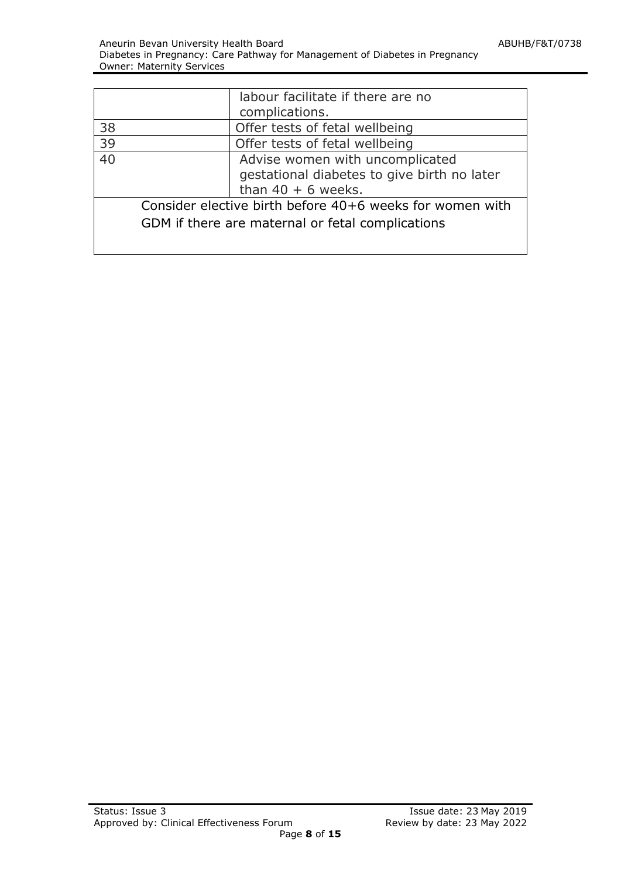|                                                          | labour facilitate if there are no           |  |  |  |
|----------------------------------------------------------|---------------------------------------------|--|--|--|
|                                                          | complications.                              |  |  |  |
| 38                                                       | Offer tests of fetal wellbeing              |  |  |  |
| 39                                                       | Offer tests of fetal wellbeing              |  |  |  |
| $\overline{40}$                                          | Advise women with uncomplicated             |  |  |  |
|                                                          | gestational diabetes to give birth no later |  |  |  |
|                                                          | than $40 + 6$ weeks.                        |  |  |  |
| Consider elective birth before 40+6 weeks for women with |                                             |  |  |  |
| GDM if there are maternal or fetal complications         |                                             |  |  |  |
|                                                          |                                             |  |  |  |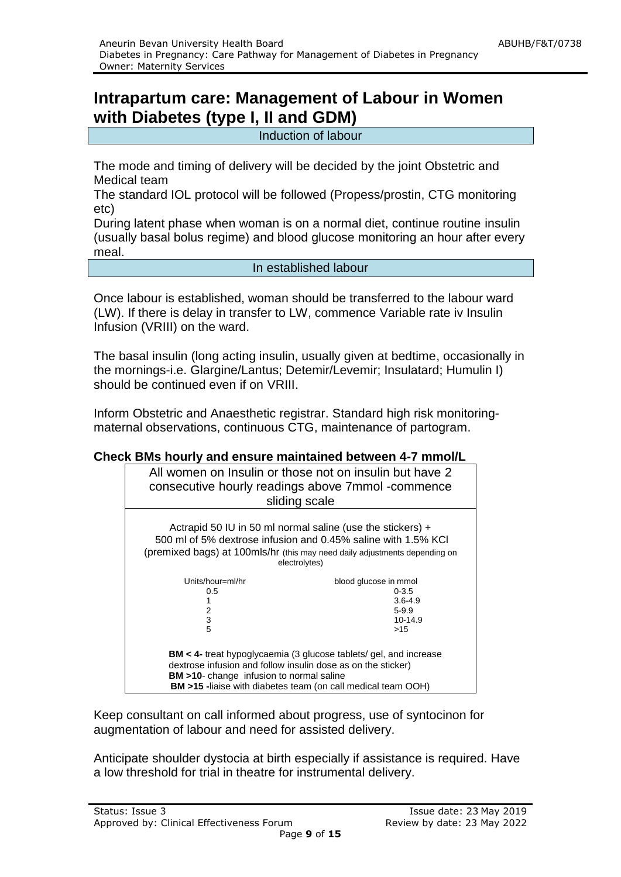# **Intrapartum care: Management of Labour in Women with Diabetes (type I, II and GDM)**

Induction of labour

The mode and timing of delivery will be decided by the joint Obstetric and Medical team

The standard IOL protocol will be followed (Propess/prostin, CTG monitoring etc)

During latent phase when woman is on a normal diet, continue routine insulin (usually basal bolus regime) and blood glucose monitoring an hour after every meal.

In established labour

Once labour is established, woman should be transferred to the labour ward (LW). If there is delay in transfer to LW, commence Variable rate iv Insulin Infusion (VRIII) on the ward.

The basal insulin (long acting insulin, usually given at bedtime, occasionally in the mornings-i.e. Glargine/Lantus; Detemir/Levemir; Insulatard; Humulin I) should be continued even if on VRIII.

Inform Obstetric and Anaesthetic registrar. Standard high risk monitoringmaternal observations, continuous CTG, maintenance of partogram.

#### **Check BMs hourly and ensure maintained between 4-7 mmol/L**

| All women on Insulin or those not on insulin but have 2<br>consecutive hourly readings above 7mmol -commence<br>sliding scale                                                                                                                                         |                                                                                  |  |  |  |  |
|-----------------------------------------------------------------------------------------------------------------------------------------------------------------------------------------------------------------------------------------------------------------------|----------------------------------------------------------------------------------|--|--|--|--|
| Actrapid 50 IU in 50 ml normal saline (use the stickers) $+$<br>500 ml of 5% dextrose infusion and 0.45% saline with 1.5% KCI<br>(premixed bags) at 100mls/hr (this may need daily adjustments depending on<br>electrolytes)                                          |                                                                                  |  |  |  |  |
| Units/hour=ml/hr<br>0.5<br>2<br>3<br>5                                                                                                                                                                                                                                | blood glucose in mmol<br>$0 - 3.5$<br>$3.6 - 4.9$<br>$5-9.9$<br>$10-14.9$<br>>15 |  |  |  |  |
| <b>BM</b> < 4- treat hypoglycaemia (3 glucose tablets/ gel, and increase<br>dextrose infusion and follow insulin dose as on the sticker)<br><b>BM</b> >10- change infusion to normal saline<br><b>BM &gt;15</b> -liaise with diabetes team (on call medical team OOH) |                                                                                  |  |  |  |  |

Keep consultant on call informed about progress, use of syntocinon for augmentation of labour and need for assisted delivery.

Anticipate shoulder dystocia at birth especially if assistance is required. Have a low threshold for trial in theatre for instrumental delivery.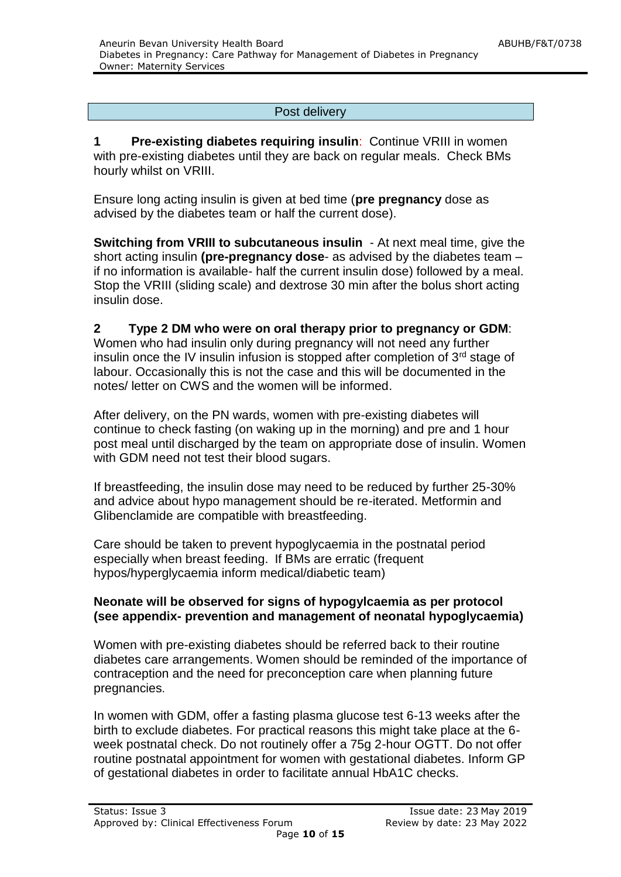#### Post delivery

**1 Pre-existing diabetes requiring insulin**: Continue VRIII in women with pre-existing diabetes until they are back on regular meals. Check BMs hourly whilst on VRIII.

Ensure long acting insulin is given at bed time (**pre pregnancy** dose as advised by the diabetes team or half the current dose).

**Switching from VRIII to subcutaneous insulin** - At next meal time, give the short acting insulin **(pre-pregnancy dose**- as advised by the diabetes team – if no information is available- half the current insulin dose) followed by a meal. Stop the VRIII (sliding scale) and dextrose 30 min after the bolus short acting insulin dose.

#### **2 Type 2 DM who were on oral therapy prior to pregnancy or GDM**: Women who had insulin only during pregnancy will not need any further insulin once the IV insulin infusion is stopped after completion of  $3<sup>rd</sup>$  stage of labour. Occasionally this is not the case and this will be documented in the notes/ letter on CWS and the women will be informed.

After delivery, on the PN wards, women with pre-existing diabetes will continue to check fasting (on waking up in the morning) and pre and 1 hour post meal until discharged by the team on appropriate dose of insulin. Women with GDM need not test their blood sugars.

If breastfeeding, the insulin dose may need to be reduced by further 25-30% and advice about hypo management should be re-iterated. Metformin and Glibenclamide are compatible with breastfeeding.

Care should be taken to prevent hypoglycaemia in the postnatal period especially when breast feeding. If BMs are erratic (frequent hypos/hyperglycaemia inform medical/diabetic team)

#### **Neonate will be observed for signs of hypogylcaemia as per protocol (see appendix- prevention and management of neonatal hypoglycaemia)**

Women with pre-existing diabetes should be referred back to their routine diabetes care arrangements. Women should be reminded of the importance of contraception and the need for preconception care when planning future pregnancies.

In women with GDM, offer a fasting plasma glucose test 6-13 weeks after the birth to exclude diabetes. For practical reasons this might take place at the 6 week postnatal check. Do not routinely offer a 75g 2-hour OGTT. Do not offer routine postnatal appointment for women with gestational diabetes. Inform GP of gestational diabetes in order to facilitate annual HbA1C checks.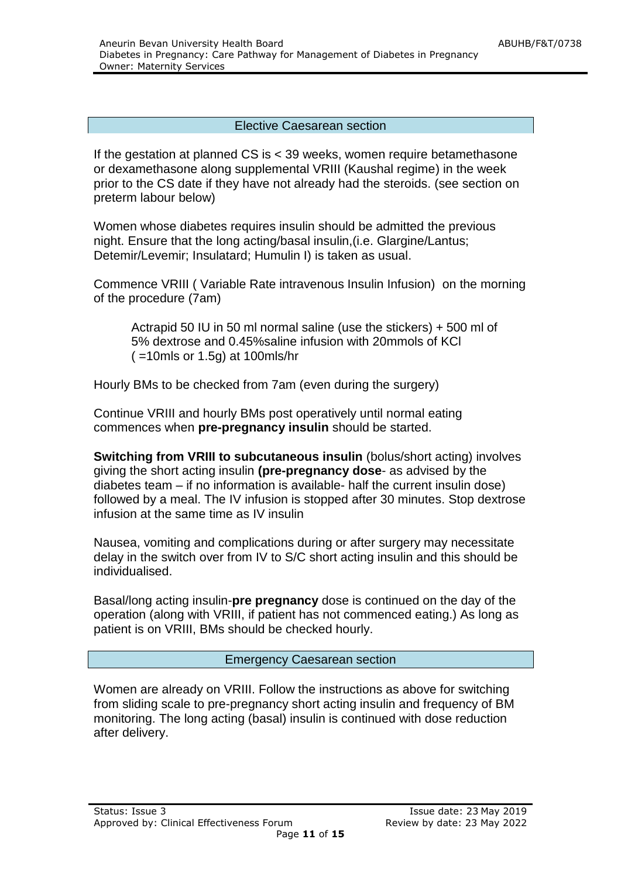#### Elective Caesarean section

If the gestation at planned CS is < 39 weeks, women require betamethasone or dexamethasone along supplemental VRIII (Kaushal regime) in the week prior to the CS date if they have not already had the steroids. (see section on preterm labour below)

Women whose diabetes requires insulin should be admitted the previous night. Ensure that the long acting/basal insulin,(i.e. Glargine/Lantus; Detemir/Levemir; Insulatard; Humulin I) is taken as usual.

Commence VRIII ( Variable Rate intravenous Insulin Infusion) on the morning of the procedure (7am)

Actrapid 50 IU in 50 ml normal saline (use the stickers) + 500 ml of 5% dextrose and 0.45%saline infusion with 20mmols of KCl ( =10mls or 1.5g) at 100mls/hr

Hourly BMs to be checked from 7am (even during the surgery)

Continue VRIII and hourly BMs post operatively until normal eating commences when **pre-pregnancy insulin** should be started.

**Switching from VRIII to subcutaneous insulin** (bolus/short acting) involves giving the short acting insulin **(pre-pregnancy dose**- as advised by the diabetes team – if no information is available- half the current insulin dose) followed by a meal. The IV infusion is stopped after 30 minutes. Stop dextrose infusion at the same time as IV insulin

Nausea, vomiting and complications during or after surgery may necessitate delay in the switch over from IV to S/C short acting insulin and this should be individualised.

Basal/long acting insulin-**pre pregnancy** dose is continued on the day of the operation (along with VRIII, if patient has not commenced eating.) As long as patient is on VRIII, BMs should be checked hourly.

#### Emergency Caesarean section

Women are already on VRIII. Follow the instructions as above for switching from sliding scale to pre-pregnancy short acting insulin and frequency of BM monitoring. The long acting (basal) insulin is continued with dose reduction after delivery.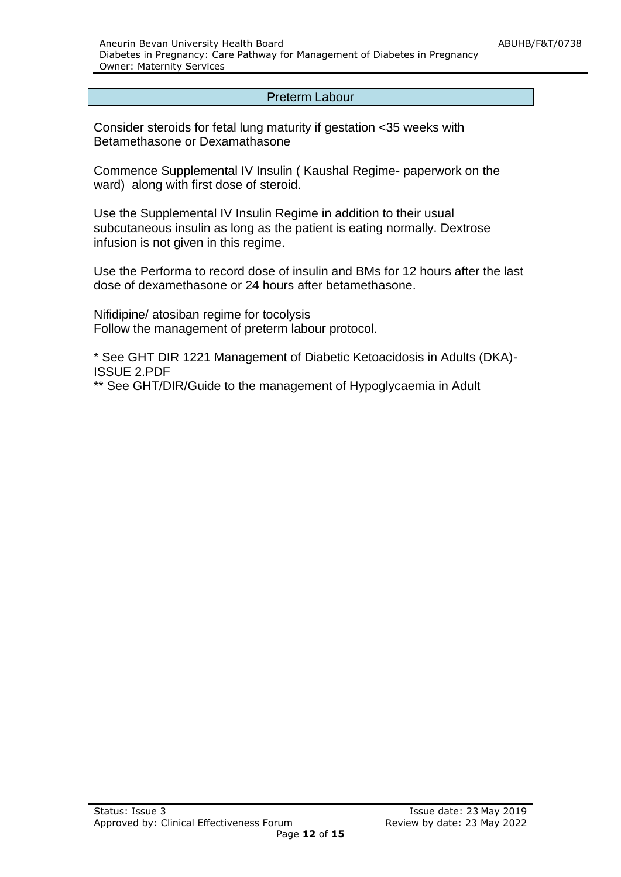#### Preterm Labour

Consider steroids for fetal lung maturity if gestation <35 weeks with Betamethasone or Dexamathasone

Commence Supplemental IV Insulin ( Kaushal Regime- paperwork on the ward) along with first dose of steroid.

Use the Supplemental IV Insulin Regime in addition to their usual subcutaneous insulin as long as the patient is eating normally. Dextrose infusion is not given in this regime.

Use the Performa to record dose of insulin and BMs for 12 hours after the last dose of dexamethasone or 24 hours after betamethasone.

Nifidipine/ atosiban regime for tocolysis Follow the management of preterm labour protocol.

\* See GHT DIR 1221 Management of Diabetic Ketoacidosis in Adults (DKA)- ISSUE 2.PDF

\*\* See GHT/DIR/Guide to the management of Hypoglycaemia in Adult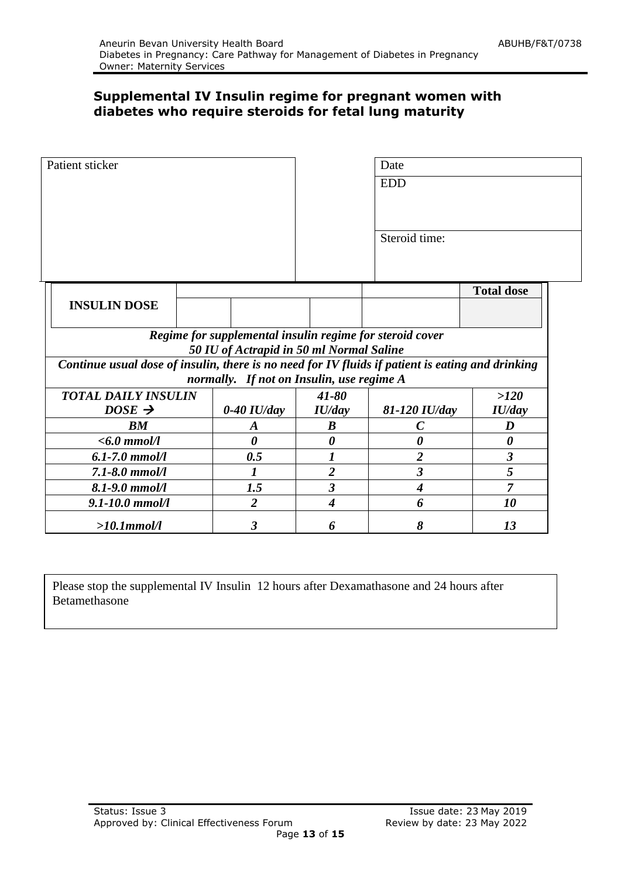# **Supplemental IV Insulin regime for pregnant women with diabetes who require steroids for fetal lung maturity**

| Patient sticker                                                                                  |  |                  |                                           | Date                                                     |                       |
|--------------------------------------------------------------------------------------------------|--|------------------|-------------------------------------------|----------------------------------------------------------|-----------------------|
|                                                                                                  |  |                  |                                           | <b>EDD</b>                                               |                       |
|                                                                                                  |  |                  |                                           |                                                          |                       |
|                                                                                                  |  |                  |                                           | Steroid time:                                            |                       |
|                                                                                                  |  |                  |                                           |                                                          | <b>Total dose</b>     |
| <b>INSULIN DOSE</b>                                                                              |  |                  |                                           |                                                          |                       |
|                                                                                                  |  |                  | 50 IU of Actrapid in 50 ml Normal Saline  | Regime for supplemental insulin regime for steroid cover |                       |
| Continue usual dose of insulin, there is no need for IV fluids if patient is eating and drinking |  |                  | normally. If not on Insulin, use regime A |                                                          |                       |
| <b>TOTAL DAILY INSULIN</b>                                                                       |  |                  | $41 - 80$                                 |                                                          | >120                  |
| $DOSE \rightarrow$                                                                               |  | $0-40$ IU/day    | IU/day                                    | 81-120 IU/day                                            | IU/day                |
| BM                                                                                               |  | $\boldsymbol{A}$ | $\boldsymbol{B}$                          | $\boldsymbol{C}$                                         | D                     |
| $<$ 6.0 mmol/l                                                                                   |  | 0                | $\boldsymbol{\theta}$                     | 0                                                        | $\boldsymbol{\theta}$ |
| $6.1 - 7.0$ mmol/l                                                                               |  | 0.5              |                                           | $\overline{\mathbf{2}}$                                  | $\boldsymbol{\beta}$  |
| $7.1 - 8.0$ mmol/l                                                                               |  | 1                | $\overline{2}$                            | 3                                                        | 5                     |
| $8.1 - 9.0$ mmol/l                                                                               |  | 1.5              | $\boldsymbol{\beta}$                      | $\boldsymbol{4}$                                         | 7                     |
| $9.1 - 10.0$ mmol/l                                                                              |  | $\overline{2}$   | $\overline{\boldsymbol{4}}$               | 6                                                        | 10                    |
| $>10.1$ mmol/l                                                                                   |  | 3                | 6                                         | 8                                                        | 13                    |

Please stop the supplemental IV Insulin 12 hours after Dexamathasone and 24 hours after Betamethasone